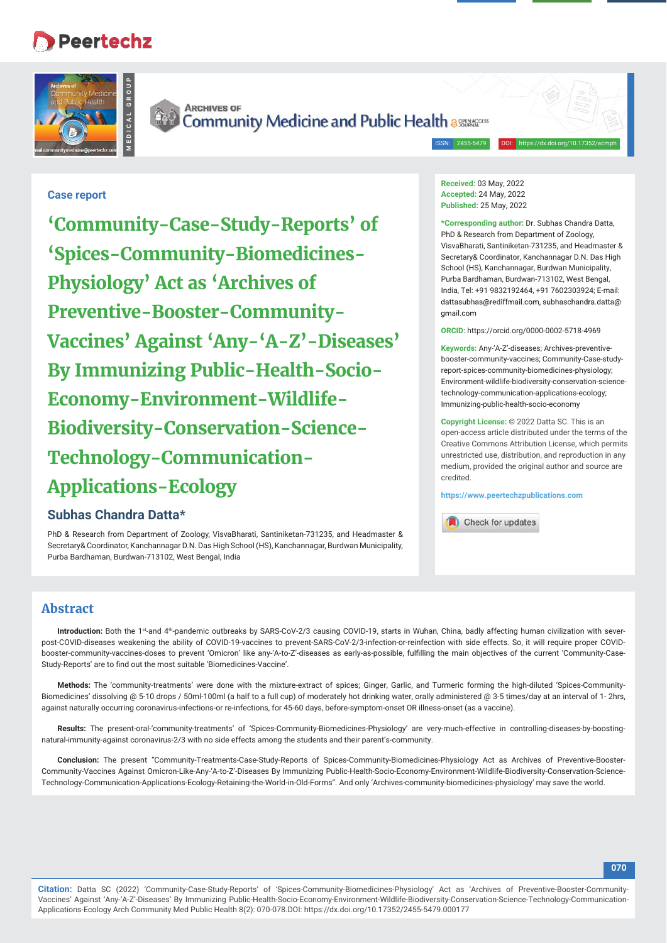# **Peertechz**





**ARCHIVES OF** Community Medicine and Public Health assessed

ISSN: 2455-5479

# **Case report**

**'Community-Case-Study-Reports' of 'Spices-Community-Biomedicines-Physiology' Act as 'Archives of Preventive-Booster-Community-Vaccines' Against 'Any-'A-Z'-Diseases' By Immunizing Public-Health-Socio-Economy-Environment-Wildlife-Biodiversity-Conservation-Science-Technology-Communication-Applications-Ecology**

# **Subhas Chandra Datta\***

PhD & Research from Department of Zoology, VisvaBharati, Santiniketan-731235, and Headmaster & Secretary& Coordinator, Kanchannagar D.N. Das High School (HS), Kanchannagar, Burdwan Municipality, Purba Bardhaman, Burdwan-713102, West Bengal, India

**Received:** 03 May, 2022 **Accepted:** 24 May, 2022 **Published:** 25 May, 2022

**\*Corresponding author:** Dr. Subhas Chandra Datta, PhD & Research from Department of Zoology, VisvaBharati, Santiniketan-731235, and Headmaster & Secretary& Coordinator, Kanchannagar D.N. Das High School (HS), Kanchannagar, Burdwan Municipality, Purba Bardhaman, Burdwan-713102, West Bengal, India, Tel: +91 9832192464, +91 7602303924; E-mail: dattasubhas@rediffmail.com, subhaschandra.datta@ amail.com

**ORCID:** https://orcid.org/0000-0002-5718-4969

**Keywords:** Any-'A-Z'-diseases; Archives-preventivebooster-community-vaccines; Community-Case-studyreport-spices-community-biomedicines-physiology; Environment-wildlife-biodiversity-conservation-sciencetechnology-communication-applications-ecology; Immunizing-public-health-socio-economy

**Copyright License:** © 2022 Datta SC. This is an open-access article distributed under the terms of the Creative Commons Attribution License, which permits unrestricted use, distribution, and reproduction in any medium, provided the original author and source are credited.

**https://www.peertechzpublications.com**



# **Abstract**

Introduction: Both the 1<sup>st</sup>-and 4<sup>th</sup>-pandemic outbreaks by SARS-CoV-2/3 causing COVID-19, starts in Wuhan, China, badly affecting human civilization with severpost-COVID-diseases weakening the ability of COVID-19-vaccines to prevent-SARS-CoV-2/3-infection-or-reinfection with side effects. So, it will require proper COVIDbooster-community-vaccines-doses to prevent 'Omicron' like any-'A-to-Z'-diseases as early-as-possible, fulfilling the main objectives of the current 'Community-Case-Study-Reports' are to find out the most suitable 'Biomedicines-Vaccine'.

**Methods:** The 'community-treatments' were done with the mixture-extract of spices; Ginger, Garlic, and Turmeric forming the high-diluted 'Spices-Community-Biomedicines' dissolving @ 5-10 drops / 50ml-100ml (a half to a full cup) of moderately hot drinking water, orally administered @ 3-5 times/day at an interval of 1- 2hrs, against naturally occurring coronavirus-infections-or re-infections, for 45-60 days, before-symptom-onset OR illness-onset (as a vaccine).

**Results:** The present-oral-'community-treatments' of 'Spices-Community-Biomedicines-Physiology' are very-much-effective in controlling-diseases-by-boostingnatural-immunity-against coronavirus-2/3 with no side effects among the students and their parent's-community.

**Conclusion:** The present "Community-Treatments-Case-Study-Reports of Spices-Community-Biomedicines-Physiology Act as Archives of Preventive-Booster-Community-Vaccines Against Omicron-Like-Any-'A-to-Z'-Diseases By Immunizing Public-Health-Socio-Economy-Environment-Wildlife-Biodiversity-Conservation-Science-Technology-Communication-Applications-Ecology-Retaining-the-World-in-Old-Forms". And only 'Archives-community-biomedicines-physiology' may save the world.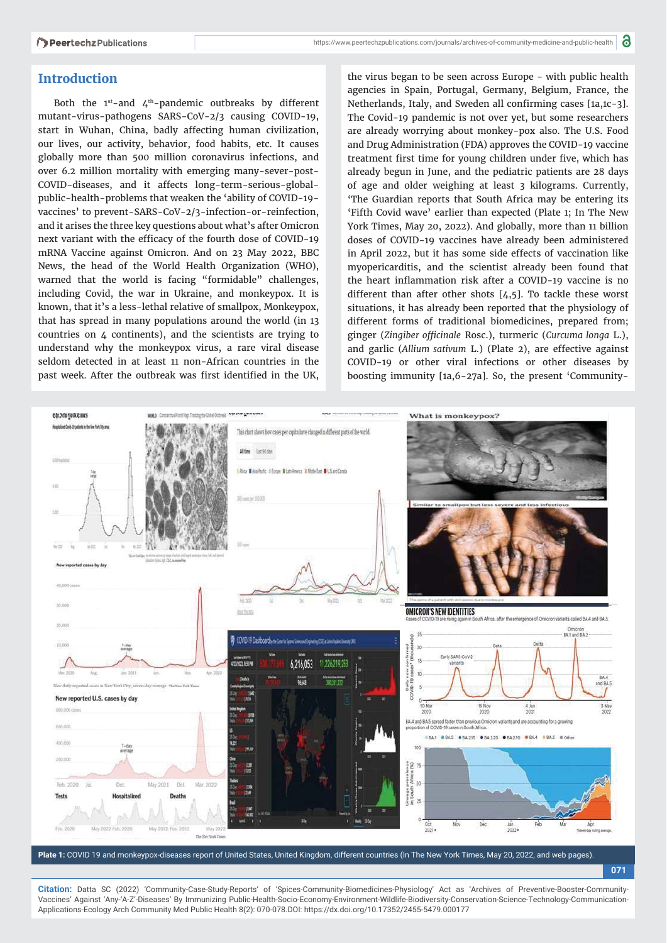# **Introduction**

Both the  $1^{st}$ -and  $4^{th}$ -pandemic outbreaks by different mutant-virus-pathogens SARS-CoV-2/3 causing COVID-19, start in Wuhan, China, badly affecting human civilization, our lives, our activity, behavior, food habits, etc. It causes globally more than 500 million coronavirus infections, and over 6.2 million mortality with emerging many-sever-post-COVID-diseases, and it affects long-term-serious-globalpublic-health-problems that weaken the 'ability of COVID-19 vaccines' to prevent-SARS-CoV-2/3-infection-or-reinfection, and it arises the three key questions about what's after Omicron next variant with the efficacy of the fourth dose of COVID-19 mRNA Vaccine against Omicron. And on 23 May 2022, BBC News, the head of the World Health Organization (WHO), warned that the world is facing "formidable" challenges, including Covid, the war in Ukraine, and monkeypox. It is known, that it's a less-lethal relative of smallpox, Monkeypox, that has spread in many populations around the world (in 13 countries on 4 continents), and the scientists are trying to understand why the monkeypox virus, a rare viral disease seldom detected in at least 11 non-African countries in the past week. After the outbreak was first identified in the UK,

the virus began to be seen across Europe - with public health agencies in Spain, Portugal, Germany, Belgium, France, the Netherlands, Italy, and Sweden all confirming cases [1a,1c-3]. The Covid-19 pandemic is not over yet, but some researchers are already worrying about monkey-pox also. The U.S. Food and Drug Administration (FDA) approves the COVID-19 vaccine treatment first time for young children under five, which has already begun in June, and the pediatric patients are 28 days of age and older weighing at least 3 kilograms. Currently, 'The Guardian reports that South Africa may be entering its 'Fifth Covid wave' earlier than expected (Plate 1; In The New York Times, May 20, 2022). And globally, more than 11 billion doses of COVID-19 vaccines have already been administered in April 2022, but it has some side effects of vaccination like myopericarditis, and the scientist already been found that the heart inflammation risk after a COVID-19 vaccine is no different than after other shots [4,5]. To tackle these worst situations, it has already been reported that the physiology of different forms of traditional biomedicines, prepared from; ginger (Zingiber officinale Rosc.), turmeric (Curcuma longa L.), and garlic (*Allium sativum* L.) (Plate 2), are effective against COVID-19 or other viral infections or other diseases by boosting immunity [1a,6-27a]. So, the present 'Community-



**Plate 1:** COVID 19 and monkeypox-diseases report of United States, United Kingdom, different countries (In The New York Times, May 20, 2022, and web pages).

**071**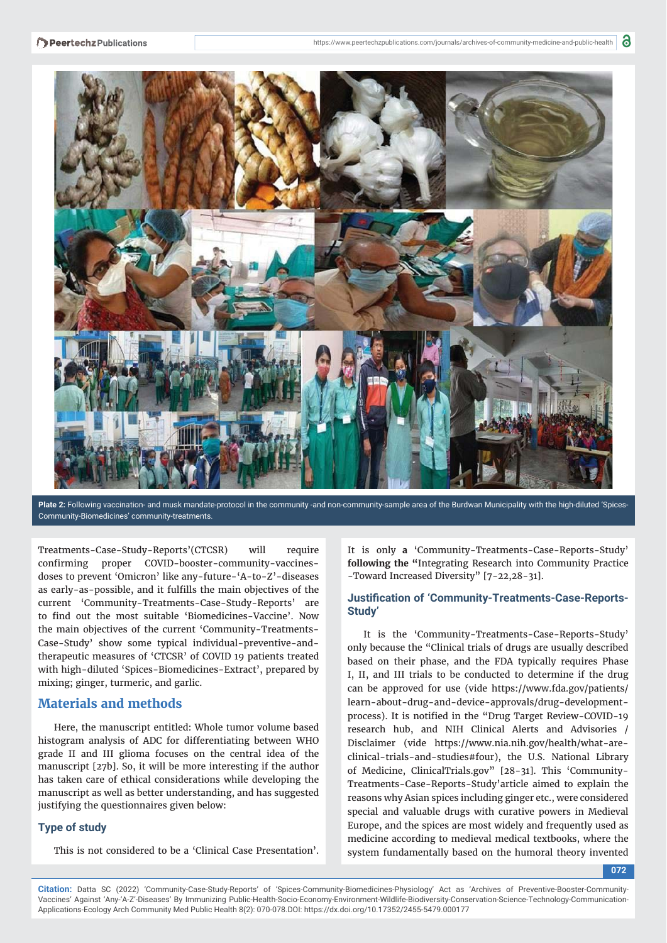

Plate 2: Following vaccination- and musk mandate-protocol in the community-and non-community-sample area of the Burdwan Municipality with the high-diluted 'Spices-Community-Biomedicines' community-treatments.

Treatments-Case-Study-Reports'(CTCSR) will require confirming proper COVID-booster-community-vaccinesdoses to prevent 'Omicron' like any-future-'A-to-Z'-diseases as early-as-possible, and it fulfills the main objectives of the current 'Community-Treatments-Case-Study-Reports' are to find out the most suitable 'Biomedicines-Vaccine'. Now the main objectives of the current 'Community-Treatments-Case-Study' show some typical individual-preventive-andtherapeutic measures of 'CTCSR' of COVID 19 patients treated with high-diluted 'Spices-Biomedicines-Extract', prepared by mixing; ginger, turmeric, and garlic.

# **Materials and methods**

Here, the manuscript entitled: Whole tumor volume based histogram analysis of ADC for differentiating between WHO grade II and III glioma focuses on the central idea of the manuscript [27b]. So, it will be more interesting if the author has taken care of ethical considerations while developing the manuscript as well as better understanding, and has suggested justifying the questionnaires given below:

## **Type of study**

This is not considered to be a 'Clinical Case Presentation'.

It is only **a** 'Community-Treatments-Case-Reports-Study' **following the "**Integrating Research into Community Practice -Toward Increased Diversity" [7-22,28-31].

## **Justification of 'Community-Treatments-Case-Reports-Study'**

It is the 'Community-Treatments-Case-Reports-Study' only because the "Clinical trials of drugs are usually described based on their phase, and the FDA typically requires Phase I, II, and III trials to be conducted to determine if the drug can be approved for use (vide https://www.fda.gov/patients/ learn-about-drug-and-device-approvals/drug-developmentprocess). It is notified in the "Drug Target Review-COVID-19 research hub, and NIH Clinical Alerts and Advisories / Disclaimer (vide https://www.nia.nih.gov/health/what-areclinical-trials-and-studies#four), the U.S. National Library of Medicine, ClinicalTrials.gov" [28-31]. This 'Community-Treatments-Case-Reports-Study'article aimed to explain the reasons why Asian spices including ginger etc., were considered special and valuable drugs with curative powers in Medieval Europe, and the spices are most widely and frequently used as medicine according to medieval medical textbooks, where the system fundamentally based on the humoral theory invented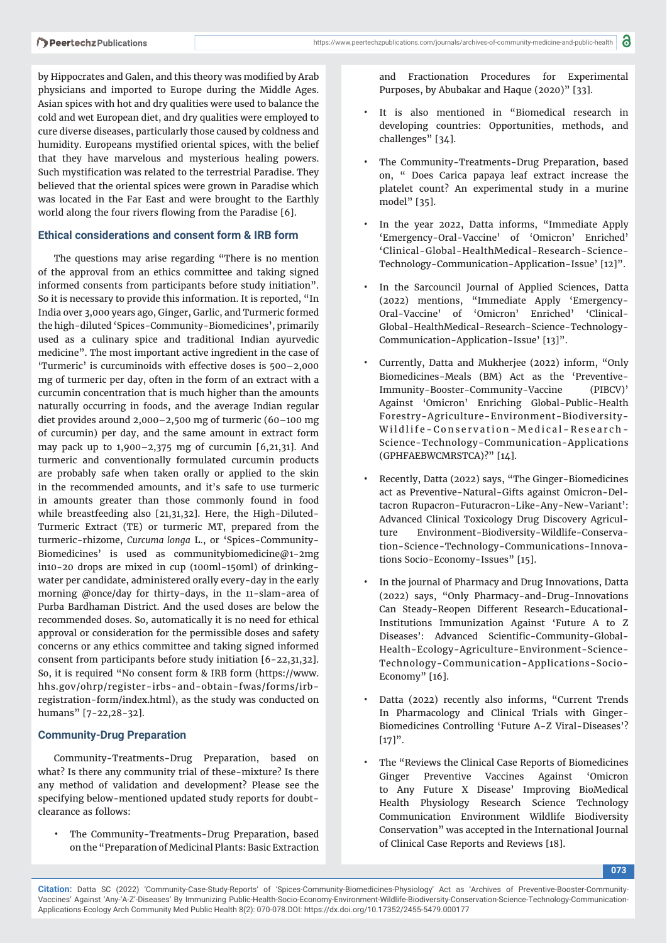by Hippocrates and Galen, and this theory was modified by Arab physicians and imported to Europe during the Middle Ages. Asian spices with hot and dry qualities were used to balance the cold and wet European diet, and dry qualities were employed to cure diverse diseases, particularly those caused by coldness and humidity. Europeans mystified oriental spices, with the belief that they have marvelous and mysterious healing powers. Such mystification was related to the terrestrial Paradise. They believed that the oriental spices were grown in Paradise which was located in the Far East and were brought to the Earthly world along the four rivers flowing from the Paradise [6].

### **Ethical considerations and consent form & IRB form**

The questions may arise regarding "There is no mention of the approval from an ethics committee and taking signed informed consents from participants before study initiation". So it is necessary to provide this information. It is reported, "In India over 3,000 years ago, Ginger, Garlic, and Turmeric formed the high-diluted 'Spices-Community-Biomedicines', primarily used as a culinary spice and traditional Indian ayurvedic medicine". The most important active ingredient in the case of 'Turmeric' is curcuminoids with effective doses is 500–2,000 mg of turmeric per day, often in the form of an extract with a curcumin concentration that is much higher than the amounts naturally occurring in foods, and the average Indian regular diet provides around 2,000–2,500 mg of turmeric (60–100 mg of curcumin) per day, and the same amount in extract form may pack up to 1,900–2,375 mg of curcumin [6,21,31]. And turmeric and conventionally formulated curcumin products are probably safe when taken orally or applied to the skin in the recommended amounts, and it's safe to use turmeric in amounts greater than those commonly found in food while breastfeeding also [21,31,32]. Here, the High-Diluted-Turmeric Extract (TE) or turmeric MT, prepared from the turmeric-rhizome, *Curcuma longa* L., or 'Spices-Community-Biomedicines' is used as communitybiomedicine@1-2mg in10-20 drops are mixed in cup (100ml-150ml) of drinkingwater per candidate, administered orally every-day in the early morning @once/day for thirty-days, in the 11-slam-area of Purba Bardhaman District. And the used doses are below the recommended doses. So, automatically it is no need for ethical approval or consideration for the permissible doses and safety concerns or any ethics committee and taking signed informed consent from participants before study initiation [6-22,31,32]. So, it is required "No consent form & IRB form (https://www. hhs.gov/ohrp/register-irbs-and-obtain-fwas/forms/irbregistration-form/index.html), as the study was conducted on humans" [7-22,28-32].

## **Community-Drug Preparation**

Community-Treatments-Drug Preparation, based on what? Is there any community trial of these-mixture? Is there any method of validation and development? Please see the specifying below-mentioned updated study reports for doubtclearance as follows:

The Community-Treatments-Drug Preparation, based on the "Preparation of Medicinal Plants: Basic Extraction

and Fractionation Procedures for Experimental Purposes, by Abubakar and Haque (2020)" [33].

- It is also mentioned in "Biomedical research in developing countries: Opportunities, methods, and challenges" [34].
- The Community-Treatments-Drug Preparation, based on, " Does Carica papaya leaf extract increase the platelet count? An experimental study in a murine model" [35].
- In the year 2022, Datta informs, "Immediate Apply 'Emergency-Oral-Vaccine' of 'Omicron' Enriched' 'Clinical-Global-HealthMedical-Research-Science-Technology-Communication-Application-Issue' [12]".
- In the Sarcouncil Journal of Applied Sciences, Datta (2022) mentions, "Immediate Apply 'Emergency-Oral-Vaccine' of 'Omicron' Enriched' 'Clinical-Global-HealthMedical-Research-Science-Technology-Communication-Application-Issue' [13]".
- Currently, Datta and Mukherjee (2022) inform, "Only Biomedicines-Meals (BM) Act as the 'Preventive-Immunity-Booster-Community-Vaccine (PIBCV)' Against 'Omicron' Enriching Global-Public-Health Forestry-Agriculture-Environment-Biodiversity-Wildlife-Conservation-Medical-Research-Science-Technology-Communication-Applications (GPHFAEBWCMRSTCA)?" [14].
- Recently, Datta (2022) says, "The Ginger-Biomedicines act as Preventive-Natural-Gifts against Omicron-Deltacron Rupacron-Futuracron-Like-Any-New-Variant': Advanced Clinical Toxicology Drug Discovery Agriculture Environment-Biodiversity-Wildlife-Conservation-Science-Technology-Communications-Innovations Socio-Economy-Issues" [15].
- In the journal of Pharmacy and Drug Innovations, Datta (2022) says, "Only Pharmacy-and-Drug-Innovations Can Steady-Reopen Different Research-Educational-Institutions Immunization Against 'Future A to Z Diseases': Advanced Scientific-Community-Global-Health-Ecology-Agriculture-Environment-Science-Technology-Communication-Applications-Socio-Economy" [16].
- Datta (2022) recently also informs, "Current Trends In Pharmacology and Clinical Trials with Ginger-Biomedicines Controlling 'Future A-Z Viral-Diseases'?  $[17]$ ".
- The "Reviews the Clinical Case Reports of Biomedicines Ginger Preventive Vaccines Against 'Omicron to Any Future X Disease' Improving BioMedical Health Physiology Research Science Technology Communication Environment Wildlife Biodiversity Conservation" was accepted in the International Journal of Clinical Case Reports and Reviews [18].

**073**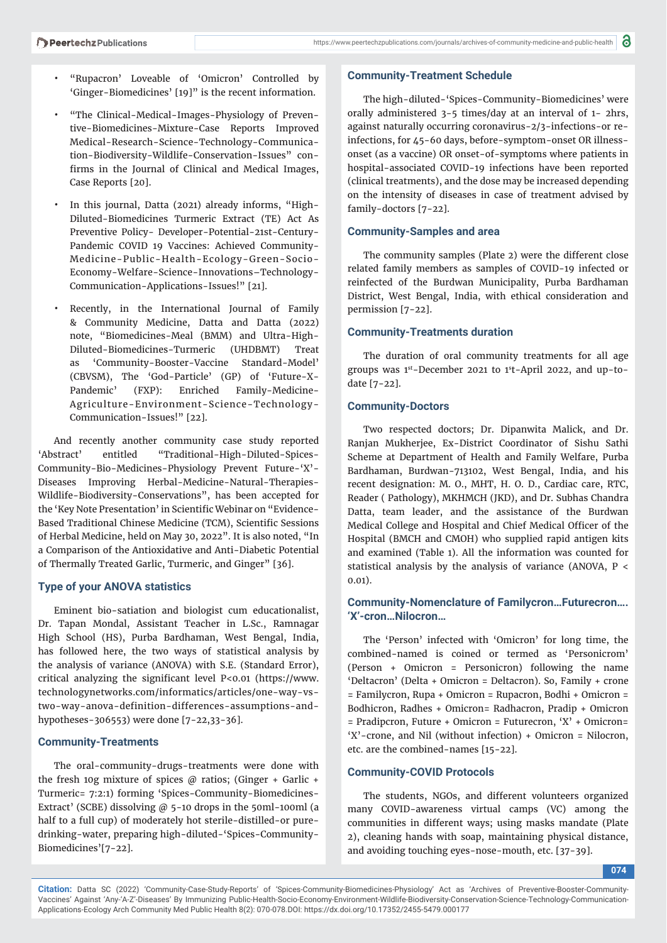- "Rupacron' Loveable of 'Omicron' Controlled by 'Ginger-Biomedicines' [19]" is the recent information.
- "The Clinical-Medical-Images-Physiology of Preventive-Biomedicines-Mixture-Case Reports Improved Medical-Research-Science-Technology-Communication-Biodiversity-Wildlife-Conservation-Issues" confirms in the Journal of Clinical and Medical Images, Case Reports [20].
- In this journal, Datta (2021) already informs, "High-Diluted-Biomedicines Turmeric Extract (TE) Act As Preventive Policy- Developer-Potential-21st-Century-Pandemic COVID 19 Vaccines: Achieved Community-Medicine-Public-Health-Ecology-Green-Socio-Economy-Welfare-Science-Innovations–Technology-Communication-Applications-Issues!" [21].
- Recently, in the International Journal of Family & Community Medicine, Datta and Datta (2022) note, "Biomedicines-Meal (BMM) and Ultra-High-Diluted-Biomedicines-Turmeric (UHDBMT) Treat as 'Community-Booster-Vaccine Standard-Model' (CBVSM), The 'God-Particle' (GP) of 'Future-X-Pandemic' (FXP): Enriched Family-Medicine-Agriculture-Environment-Science-Technology-Communication-Issues!" [22].

And recently another community case study reported 'Abstract' entitled "Traditional-High-Diluted-Spices-Community-Bio-Medicines-Physiology Prevent Future-'X'- Diseases Improving Herbal-Medicine-Natural-Therapies-Wildlife-Biodiversity-Conservations", has been accepted for the 'Key Note Presentation' in Scientific Webinar on "Evidence-Based Traditional Chinese Medicine (TCM), Scientific Sessions of Herbal Medicine, held on May 30, 2022". It is also noted, "In a Comparison of the Antioxidative and Anti-Diabetic Potential of Thermally Treated Garlic, Turmeric, and Ginger" [36].

## **Type of your ANOVA statistics**

Eminent bio-satiation and biologist cum educationalist, Dr. Tapan Mondal, Assistant Teacher in L.Sc., Ramnagar High School (HS), Purba Bardhaman, West Bengal, India, has followed here, the two ways of statistical analysis by the analysis of variance (ANOVA) with S.E. (Standard Error), critical analyzing the significant level P<0.01 (https://www. technologynetworks.com/informatics/articles/one-way-vstwo-way-anova-definition-differences-assumptions-andhypotheses-306553) were done [7-22,33-36].

## **Community-Treatments**

The oral-community-drugs-treatments were done with the fresh 10g mixture of spices  $\omega$  ratios; (Ginger + Garlic + Turmeric= 7:2:1) forming 'Spices-Community-Biomedicines-Extract' (SCBE) dissolving  $@$  5-10 drops in the 50ml-100ml (a half to a full cup) of moderately hot sterile-distilled-or puredrinking-water, preparing high-diluted-'Spices-Community-Biomedicines'[7-22].

#### **Community-Treatment Schedule**

The high-diluted-'Spices-Community-Biomedicines' were orally administered 3-5 times/day at an interval of 1- 2hrs, against naturally occurring coronavirus-2/3-infections-or reinfections, for 45-60 days, before-symptom-onset OR illnessonset (as a vaccine) OR onset-of-symptoms where patients in hospital-associated COVID-19 infections have been reported (clinical treatments), and the dose may be increased depending on the intensity of diseases in case of treatment advised by family-doctors [7-22].

#### **Community-Samples and area**

The community samples (Plate 2) were the different close related family members as samples of COVID-19 infected or reinfected of the Burdwan Municipality, Purba Bardhaman District, West Bengal, India, with ethical consideration and permission [7-22].

#### **Community-Treatments duration**

The duration of oral community treatments for all age groups was  $1<sup>st</sup>$ -December 2021 to  $1<sup>st</sup>$ -April 2022, and up-todate [7-22].

#### **Community-Doctors**

Two respected doctors; Dr. Dipanwita Malick, and Dr. Ranjan Mukherjee, Ex-District Coordinator of Sishu Sathi Scheme at Department of Health and Family Welfare, Purba Bardhaman, Burdwan-713102, West Bengal, India, and his recent designation: M. O., MHT, H. O. D., Cardiac care, RTC, Reader ( Pathology), MKHMCH (JKD), and Dr. Subhas Chandra Datta, team leader, and the assistance of the Burdwan Medical College and Hospital and Chief Medical Officer of the Hospital (BMCH and CMOH) who supplied rapid antigen kits and examined (Table 1). All the information was counted for statistical analysis by the analysis of variance (ANOVA, P < 0.01).

# **Community-Nomenclature of Familycron…Futurecron…. 'X'-cron…Nilocron…**

The 'Person' infected with 'Omicron' for long time, the combined-named is coined or termed as 'Personicrom' (Person + Omicron = Personicron) following the name 'Deltacron' (Delta + Omicron = Deltacron). So, Family + crone = Familycron, Rupa + Omicron = Rupacron, Bodhi + Omicron = Bodhicron, Radhes + Omicron= Radhacron, Pradip + Omicron = Pradipcron, Future + Omicron = Futurecron, 'X' + Omicron= 'X'-crone, and Nil (without infection) + Omicron = Nilocron, etc. are the combined-names [15-22].

## **Community-COVID Protocols**

The students, NGOs, and different volunteers organized many COVID-awareness virtual camps (VC) among the communities in different ways; using masks mandate (Plate 2), cleaning hands with soap, maintaining physical distance, and avoiding touching eyes-nose-mouth, etc. [37-39].

**074**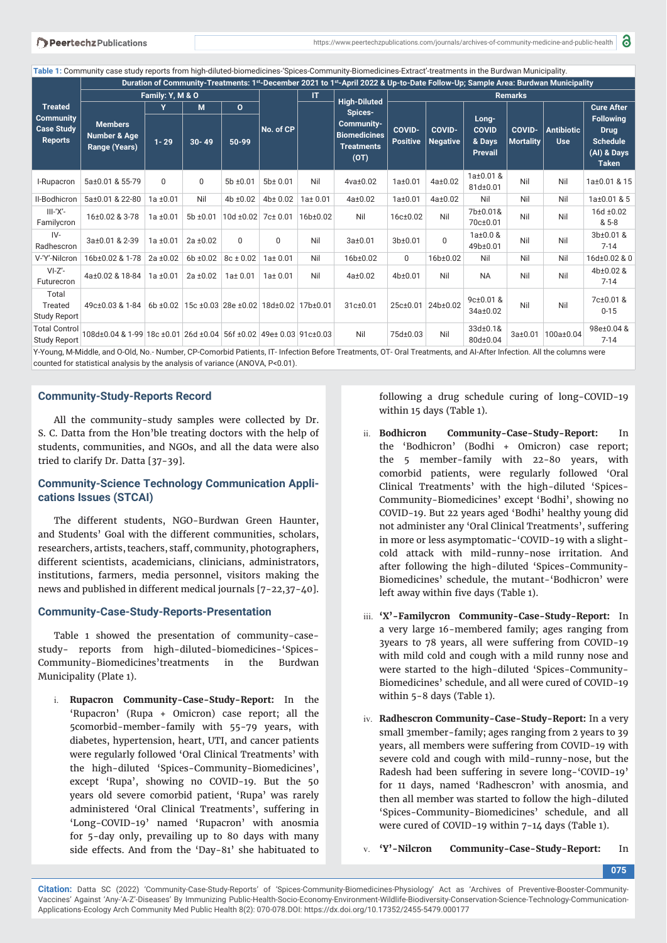**Table 1:** Community case study reports from high-diluted-biomedicines-'Spices-Community-Biomedicines-Extract'-treatments in the Burdwan Municipality.

| <b>Treated</b><br><b>Community</b><br><b>Case Study</b><br><b>Reports</b> | Duration of Community-Treatments: 1st-December 2021 to 1st-April 2022 & Up-to-Date Follow-Up; Sample Area: Burdwan Municipality                             |               |               |                              |               |                       |                                                                                                         |                                  |                                  |                                                   |                                   |                                 |                                                                                   |
|---------------------------------------------------------------------------|-------------------------------------------------------------------------------------------------------------------------------------------------------------|---------------|---------------|------------------------------|---------------|-----------------------|---------------------------------------------------------------------------------------------------------|----------------------------------|----------------------------------|---------------------------------------------------|-----------------------------------|---------------------------------|-----------------------------------------------------------------------------------|
|                                                                           | Family: Y, M & O                                                                                                                                            |               |               |                              |               | IT                    |                                                                                                         | <b>Remarks</b>                   |                                  |                                                   |                                   |                                 |                                                                                   |
|                                                                           |                                                                                                                                                             | Y             | M             | $\mathbf{o}$                 | No. of CP     |                       | <b>High-Diluted</b><br>Spices-<br><b>Community-</b><br><b>Biomedicines</b><br><b>Treatments</b><br>(OT) |                                  |                                  |                                                   |                                   |                                 | <b>Cure After</b>                                                                 |
|                                                                           | <b>Members</b><br>Number & Age<br>Range (Years)                                                                                                             | $1 - 29$      | $30 - 49$     | 50-99                        |               |                       |                                                                                                         | <b>COVID-</b><br><b>Positive</b> | <b>COVID-</b><br><b>Negative</b> | Long-<br><b>COVID</b><br>& Days<br><b>Prevail</b> | <b>COVID-</b><br><b>Mortality</b> | <b>Antibiotic</b><br><b>Use</b> | <b>Following</b><br><b>Drug</b><br><b>Schedule</b><br>(AI) & Days<br><b>Taken</b> |
| I-Rupacron                                                                | 5a±0.01 & 55-79                                                                                                                                             | $\mathbf 0$   | 0             | $5b \pm 0.01$                | $5b \pm 0.01$ | Nil                   | $4$ va $\pm$ 0.02                                                                                       | $1a \pm 0.01$                    | $4a \pm 0.02$                    | 1a±0.01 &<br>81d±0.01                             | Nil                               | Nil                             | 1a±0.01 & 15                                                                      |
| II-Bodhicron                                                              | 5a±0.01 & 22-80                                                                                                                                             | $1a \pm 0.01$ | Nil           | 4b ±0.02                     | 4b±0.02       | $1a \pm 0.01$         | $4a \pm 0.02$                                                                                           | $1a \pm 0.01$                    | $4a \pm 0.02$                    | Nil                                               | Nil                               | Nil                             | 1a±0.01 & 5                                                                       |
| $III - 'X' -$<br>Familycron                                               | 16±0.02 & 3-78                                                                                                                                              | $1a \pm 0.01$ | $5b \pm 0.01$ | $10d \pm 0.02$ 7c $\pm$ 0.01 |               | 16 <sub>b</sub> ±0.02 | Nil                                                                                                     | 16c±0.02                         | Nil                              | 7b±0.01&<br>70c±0.01                              | Nil                               | Nil                             | 16d ±0.02<br>& 5-8                                                                |
| $IV-$<br>Radhescron                                                       | 3a±0.01 & 2-39                                                                                                                                              | $1a \pm 0.01$ | $2a \pm 0.02$ | 0                            | $\Omega$      | Nil                   | $3a \pm 0.01$                                                                                           | 3b±0.01                          | $\Omega$                         | $1a \pm 0.0$ &<br>49b±0.01                        | Nil                               | Nil                             | 3b±0.01 &<br>$7 - 14$                                                             |
| V-'Y'-Nilcron                                                             | 16b±0.02 & 1-78                                                                                                                                             | $2a \pm 0.02$ | $6b + 0.02$   | $8c \pm 0.02$                | $1a \pm 0.01$ | Nil                   | 16b±0.02                                                                                                | $\mathbf 0$                      | 16b±0.02                         | Nil                                               | Nil                               | Nil                             | 16d±0.02 & 0                                                                      |
| $VI-Z'$ -<br>Futurecron                                                   | 4a±0.02 & 18-84                                                                                                                                             | $1a \pm 0.01$ | $2a \pm 0.02$ | $1a \pm 0.01$                | $1a \pm 0.01$ | Nil                   | $4a \pm 0.02$                                                                                           | 4b±0.01                          | Nil                              | <b>NA</b>                                         | Nil                               | Nil                             | 4b±0.02 &<br>$7 - 14$                                                             |
| Total<br>Treated<br>Study Report                                          | 49c±0.03 & 1-84 6b ±0.02 15c ±0.03 28e ±0.02 18d±0.02 17b±0.01                                                                                              |               |               |                              |               |                       | 31c±0.01                                                                                                |                                  | 25c±0.01 24b±0.02                | $9c \pm 0.01$ &<br>34a±0.02                       | Nil                               | Nil                             | 7c±0.01 &<br>$0 - 15$                                                             |
| <b>Total Control</b><br>Study Report                                      | 108d±0.04 & 1-99 18c ±0.01 26d ±0.04 56f ±0.02 49e± 0.03 91c±0.03                                                                                           |               |               |                              |               |                       | Nil                                                                                                     | 75d±0.03                         | Nil                              | 33d±0.1&<br>80d±0.04                              | $3a \pm 0.01$                     | 100a±0.04                       | 98e±0.04 &<br>$7 - 14$                                                            |
|                                                                           | V-Voung M-Middle and O-Old No - Number CD-Comorbid Patients IT, Infection Refere Treatments OT, Oral Treatments and ALAfter Infection. All the columns were |               |               |                              |               |                       |                                                                                                         |                                  |                                  |                                                   |                                   |                                 |                                                                                   |

1. No.- Number, CP-Comorbid Patients, IT- Infection Before Treatments, OT- Oral Treatments, and AI-After Infection. All the columns were counted for statistical analysis by the analysis of variance (ANOVA, P<0.01).

#### **Community-Study-Reports Record**

All the community-study samples were collected by Dr. S. C. Datta from the Hon'ble treating doctors with the help of students, communities, and NGOs, and all the data were also tried to clarify Dr. Datta [37-39].

# **Community-Science Technology Communication Applications Issues (STCAI)**

The different students, NGO-Burdwan Green Haunter, and Students' Goal with the different communities, scholars, researchers, artists, teachers, staff, community, photographers, different scientists, academicians, clinicians, administrators, institutions, farmers, media personnel, visitors making the news and published in different medical journals [7-22,37-40].

#### **Community-Case-Study-Reports-Presentation**

Table 1 showed the presentation of community-casestudy- reports from high-diluted-biomedicines-'Spices-Community-Biomedicines'treatments in the Burdwan Municipality (Plate 1).

i. **Rupacron Community-Case-Study-Report:** In the 'Rupacron' (Rupa + Omicron) case report; all the 5comorbid-member-family with 55-79 years, with diabetes, hypertension, heart, UTI, and cancer patients were regularly followed 'Oral Clinical Treatments' with the high-diluted 'Spices-Community-Biomedicines', except 'Rupa', showing no COVID-19. But the 50 years old severe comorbid patient, 'Rupa' was rarely administered 'Oral Clinical Treatments', suffering in 'Long-COVID-19' named 'Rupacron' with anosmia for 5-day only, prevailing up to 80 days with many side effects. And from the 'Day-81' she habituated to

following a drug schedule curing of long-COVID-19 within 15 days (Table 1).

- ii. **Bodhicron Community-Case-Study-Report:** In the 'Bodhicron' (Bodhi + Omicron) case report; the 5 member-family with 22-80 years, with comorbid patients, were regularly followed 'Oral Clinical Treatments' with the high-diluted 'Spices-Community-Biomedicines' except 'Bodhi', showing no COVID-19. But 22 years aged 'Bodhi' healthy young did not administer any 'Oral Clinical Treatments', suffering in more or less asymptomatic-'COVID-19 with a slightcold attack with mild-runny-nose irritation. And after following the high-diluted 'Spices-Community-Biomedicines' schedule, the mutant-'Bodhicron' were left away within five days (Table 1).
- iii. **'X'-Familycron Community-Case-Study-Report:** In a very large 16-membered family; ages ranging from 3years to 78 years, all were suffering from COVID-19 with mild cold and cough with a mild runny nose and were started to the high-diluted 'Spices-Community-Biomedicines' schedule, and all were cured of COVID-19 within 5-8 days (Table 1).
- iv. **Radhescron Community-Case-Study-Report:** In a very small 3member-family; ages ranging from 2 years to 39 years, all members were suffering from COVID-19 with severe cold and cough with mild-runny-nose, but the Radesh had been suffering in severe long-'COVID-19' for 11 days, named 'Radhescron' with anosmia, and then all member was started to follow the high-diluted 'Spices-Community-Biomedicines' schedule, and all were cured of COVID-19 within 7-14 days (Table 1).

v. **'Y'-Nilcron Community-Case-Study-Report:** In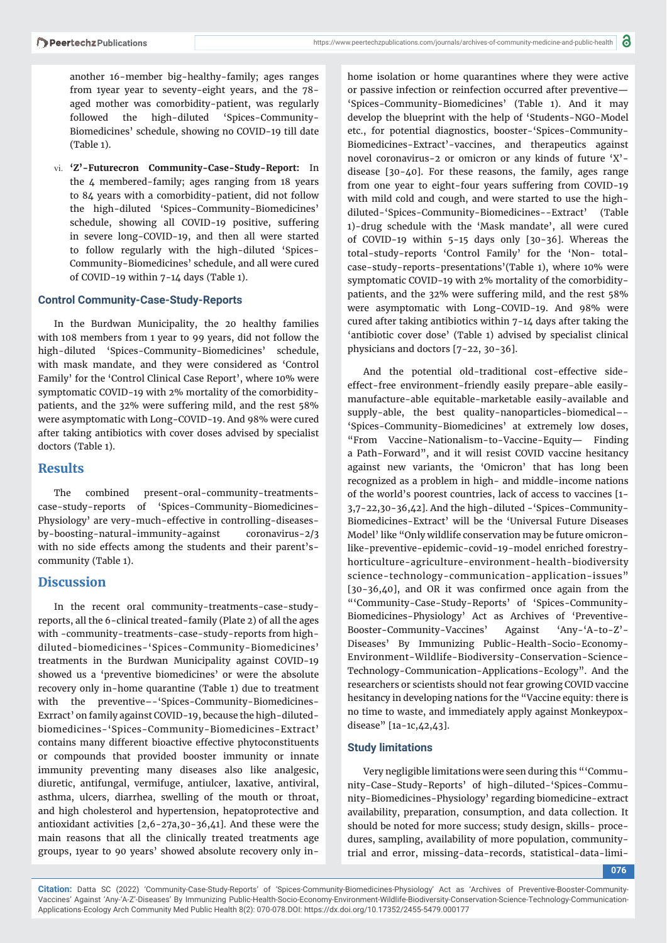another 16-member big-healthy-family; ages ranges from 1year year to seventy-eight years, and the 78 aged mother was comorbidity-patient, was regularly followed the high-diluted 'Spices-Community-Biomedicines' schedule, showing no COVID-19 till date (Table 1).

vi. **'Z'-Futurecron Community-Case-Study-Report:** In the 4 membered-family; ages ranging from 18 years to 84 years with a comorbidity-patient, did not follow the high-diluted 'Spices-Community-Biomedicines' schedule, showing all COVID-19 positive, suffering in severe long-COVID-19, and then all were started to follow regularly with the high-diluted 'Spices-Community-Biomedicines' schedule, and all were cured of COVID-19 within 7-14 days (Table 1).

## **Control Community-Case-Study-Reports**

In the Burdwan Municipality, the 20 healthy families with 108 members from 1 year to 99 years, did not follow the high-diluted 'Spices-Community-Biomedicines' schedule, with mask mandate, and they were considered as 'Control Family' for the 'Control Clinical Case Report', where 10% were symptomatic COVID-19 with 2% mortality of the comorbiditypatients, and the 32% were suffering mild, and the rest 58% were asymptomatic with Long-COVID-19. And 98% were cured after taking antibiotics with cover doses advised by specialist doctors (Table 1).

# **Results**

The combined present-oral-community-treatmentscase-study-reports of 'Spices-Community-Biomedicines-Physiology' are very-much-effective in controlling-diseasesby-boosting-natural-immunity-against coronavirus-2/3 with no side effects among the students and their parent'scommunity (Table 1).

# **Discussion**

In the recent oral community-treatments-case-studyreports, all the 6-clinical treated-family (Plate 2) of all the ages with -community-treatments-case-study-reports from highdiluted-biomedicines-'Spices-Community-Biomedicines' treatments in the Burdwan Municipality against COVID-19 showed us a 'preventive biomedicines' or were the absolute recovery only in-home quarantine (Table 1) due to treatment with the preventive–-'Spices-Community-Biomedicines-Exrract' on family against COVID-19, because the high-dilutedbiomedicines-'Spices-Community-Biomedicines-Extract' contains many different bioactive effective phytoconstituents or compounds that provided booster immunity or innate immunity preventing many diseases also like analgesic, diuretic, antifungal, vermifuge, antiulcer, laxative, antiviral, asthma, ulcers, diarrhea, swelling of the mouth or throat, and high cholesterol and hypertension, hepatoprotective and antioxidant activities [2,6-27a,30-36,41]. And these were the main reasons that all the clinically treated treatments age groups, 1year to 90 years' showed absolute recovery only inhome isolation or home quarantines where they were active or passive infection or reinfection occurred after preventive— 'Spices-Community-Biomedicines' (Table 1). And it may develop the blueprint with the help of 'Students-NGO-Model etc., for potential diagnostics, booster-'Spices-Community-Biomedicines-Extract'-vaccines, and therapeutics against novel coronavirus-2 or omicron or any kinds of future 'X' disease [30-40]. For these reasons, the family, ages range from one year to eight-four years suffering from COVID-19 with mild cold and cough, and were started to use the highdiluted-'Spices-Community-Biomedicines--Extract' (Table 1)-drug schedule with the 'Mask mandate', all were cured of COVID-19 within 5-15 days only [30-36]. Whereas the total-study-reports 'Control Family' for the 'Non- totalcase-study-reports-presentations'(Table 1), where 10% were symptomatic COVID-19 with 2% mortality of the comorbiditypatients, and the 32% were suffering mild, and the rest 58% were asymptomatic with Long-COVID-19. And 98% were cured after taking antibiotics within 7-14 days after taking the 'antibiotic cover dose' (Table 1) advised by specialist clinical physicians and doctors [7-22, 30-36].

And the potential old-traditional cost-effective sideeffect-free environment-friendly easily prepare-able easilymanufacture-able equitable-marketable easily-available and supply-able, the best quality-nanoparticles-biomedical–- 'Spices-Community-Biomedicines' at extremely low doses, "From Vaccine-Nationalism-to-Vaccine-Equity— Finding a Path-Forward", and it will resist COVID vaccine hesitancy against new variants, the 'Omicron' that has long been recognized as a problem in high- and middle-income nations of the world's poorest countries, lack of access to vaccines [1- 3,7-22,30-36,42]. And the high-diluted -'Spices-Community-Biomedicines-Extract' will be the 'Universal Future Diseases Model' like "Only wildlife conservation may be future omicronlike-preventive-epidemic-covid-19-model enriched forestryhorticulture-agriculture-environment-health-biodiversity science-technology-communication-application-issues"  $[30-36,40]$ , and OR it was confirmed once again from the "'Community-Case-Study-Reports' of 'Spices-Community-Biomedicines-Physiology' Act as Archives of 'Preventive-Booster-Community-Vaccines' Against 'Any-'A-to-Z'- Diseases' By Immunizing Public-Health-Socio-Economy-Environment-Wildlife-Biodiversity-Conservation-Science-Technology-Communication-Applications-Ecology". And the researchers or scientists should not fear growing COVID vaccine hesitancy in developing nations for the "Vaccine equity: there is no time to waste, and immediately apply against Monkeypoxdisease" [1a-1c,42,43].

## **Study limitations**

Very negligible limitations were seen during this "'Community-Case-Study-Reports' of high-diluted-'Spices-Community-Biomedicines-Physiology' regarding biomedicine-extract availability, preparation, consumption, and data collection. It should be noted for more success; study design, skills- procedures, sampling, availability of more population, communitytrial and error, missing-data-records, statistical-data-limi-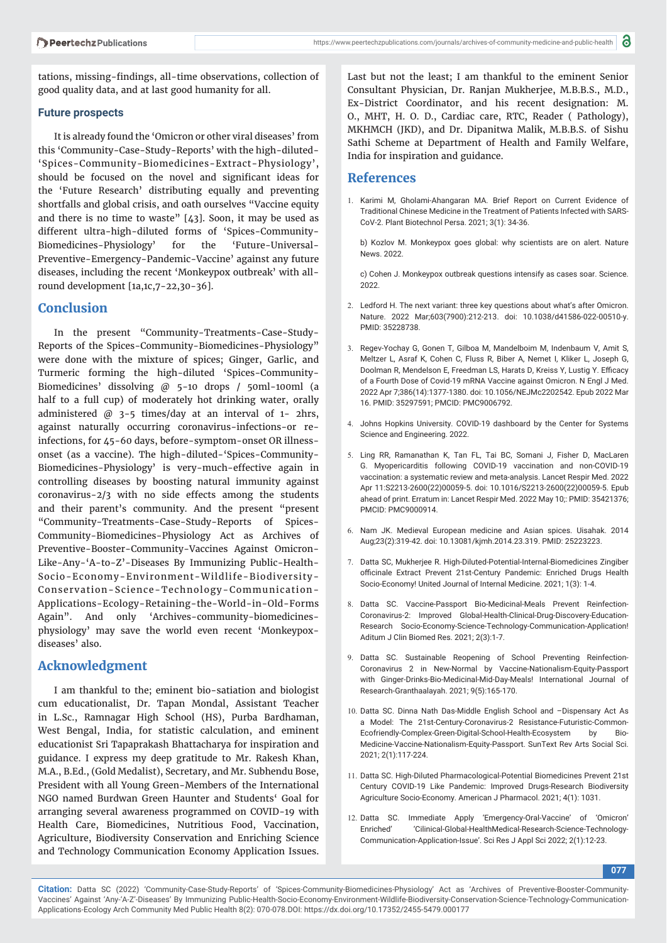tations, missing-findings, all-time observations, collection of good quality data, and at last good humanity for all.

#### **Future prospects**

It is already found the 'Omicron or other viral diseases' from this 'Community-Case-Study-Reports' with the high-diluted- 'Spices-Community-Biomedicines-Extract-Physiology', should be focused on the novel and significant ideas for the 'Future Research' distributing equally and preventing shortfalls and global crisis, and oath ourselves "Vaccine equity and there is no time to waste" [43]. Soon, it may be used as different ultra-high-diluted forms of 'Spices-Community-Biomedicines-Physiology' for the 'Future-Universal-Preventive-Emergency-Pandemic-Vaccine' against any future diseases, including the recent 'Monkeypox outbreak' with allround development [1a,1c,7-22,30-36].

#### **Conclusion**

In the present "Community-Treatments-Case-Study-Reports of the Spices-Community-Biomedicines-Physiology" were done with the mixture of spices; Ginger, Garlic, and Turmeric forming the high-diluted 'Spices-Community-Biomedicines' dissolving @ 5-10 drops / 50ml-100ml (a half to a full cup) of moderately hot drinking water, orally administered  $@$  3-5 times/day at an interval of 1- 2hrs, against naturally occurring coronavirus-infections-or reinfections, for 45-60 days, before-symptom-onset OR illnessonset (as a vaccine). The high-diluted-'Spices-Community-Biomedicines-Physiology' is very-much-effective again in controlling diseases by boosting natural immunity against coronavirus-2/3 with no side effects among the students and their parent's community. And the present "present "Community-Treatments-Case-Study-Reports of Spices-Community-Biomedicines-Physiology Act as Archives of Preventive-Booster-Community-Vaccines Against Omicron-Like-Any-'A-to-Z'-Diseases By Immunizing Public-Health-Socio-Economy-Environment-Wildlife-Biodiversity-Conservation-Science-Technology-Communication-Applications-Ecology-Retaining-the-World-in-Old-Forms Again". And only 'Archives-community-biomedicinesphysiology' may save the world even recent 'Monkeypoxdiseases' also.

## **Acknowledgment**

I am thankful to the; eminent bio-satiation and biologist cum educationalist, Dr. Tapan Mondal, Assistant Teacher in L.Sc., Ramnagar High School (HS), Purba Bardhaman, West Bengal, India, for statistic calculation, and eminent educationist Sri Tapaprakash Bhattacharya for inspiration and guidance. I express my deep gratitude to Mr. Rakesh Khan, M.A., B.Ed., (Gold Medalist), Secretary, and Mr. Subhendu Bose, President with all Young Green-Members of the International NGO named Burdwan Green Haunter and Students' Goal for arranging several awareness programmed on COVID-19 with Health Care, Biomedicines, Nutritious Food, Vaccination, Agriculture, Biodiversity Conservation and Enriching Science and Technology Communication Economy Application Issues.

Last but not the least; I am thankful to the eminent Senior Consultant Physician, Dr. Ranjan Mukherjee, M.B.B.S., M.D., Ex-District Coordinator, and his recent designation: M. O., MHT, H. O. D., Cardiac care, RTC, Reader ( Pathology), MKHMCH (JKD), and Dr. Dipanitwa Malik, M.B.B.S. of Sishu Sathi Scheme at Department of Health and Family Welfare, India for inspiration and guidance.

#### **References**

1. Karimi M, Gholami-Ahangaran MA. Brief Report on Current Evidence of Traditional Chinese Medicine in the Treatment of Patients Infected with SARS-CoV-2. Plant Biotechnol Persa. 2021; 3(1): 34-36.

 b) Kozlov M. Monkeypox goes global: why scientists are on alert. Nature News. 2022.

 c) Cohen J. Monkeypox outbreak questions intensify as cases soar. Science. 2022.

- 2. Ledford H. The next variant: three key questions about what's after Omicron. Nature. 2022 Mar;603(7900):212-213. doi: 10.1038/d41586-022-00510-y. PMID: 35228738.
- 3. Regev-Yochay G, Gonen T, Gilboa M, Mandelboim M, Indenbaum V, Amit S, Meltzer L, Asraf K, Cohen C, Fluss R, Biber A, Nemet I, Kliker L, Joseph G, Doolman R, Mendelson E, Freedman LS, Harats D, Kreiss Y, Lustig Y. Efficacy of a Fourth Dose of Covid-19 mRNA Vaccine against Omicron. N Engl J Med. 2022 Apr 7;386(14):1377-1380. doi: 10.1056/NEJMc2202542. Epub 2022 Mar 16. PMID: 35297591; PMCID: PMC9006792.
- 4. Johns Hopkins University. COVID-19 dashboard by the Center for Systems Science and Engineering. 2022.
- 5. Ling RR, Ramanathan K, Tan FL, Tai BC, Somani J, Fisher D, MacLaren G. Myopericarditis following COVID-19 vaccination and non-COVID-19 vaccination: a systematic review and meta-analysis. Lancet Respir Med. 2022 Apr 11:S2213-2600(22)00059-5. doi: 10.1016/S2213-2600(22)00059-5. Epub ahead of print. Erratum in: Lancet Respir Med. 2022 May 10;: PMID: 35421376; PMCID: PMC9000914.
- 6. Nam JK. Medieval European medicine and Asian spices. Uisahak. 2014 Aug;23(2):319-42. doi: 10.13081/kjmh.2014.23.319. PMID: 25223223.
- 7. Datta SC, Mukherjee R. High-Diluted-Potential-Internal-Biomedicines Zingiber officinale Extract Prevent 21st-Century Pandemic: Enriched Drugs Health Socio-Economy! United Journal of Internal Medicine. 2021; 1(3): 1-4.
- 8. Datta SC. Vaccine-Passport Bio-Medicinal-Meals Prevent Reinfection-Coronavirus-2: Improved Global-Health-Clinical-Drug-Discovery-Education-Research Socio-Economy-Science-Technology-Communication-Application! Aditum J Clin Biomed Res. 2021; 2(3):1-7.
- 9. Datta SC. Sustainable Reopening of School Preventing Reinfection-Coronavirus 2 in New-Normal by Vaccine-Nationalism-Equity-Passport with Ginger-Drinks-Bio-Medicinal-Mid-Day-Meals! International Journal of Research-Granthaalayah. 2021; 9(5):165-170.
- 10. Datta SC. Dinna Nath Das-Middle English School and –Dispensary Act As a Model: The 21st-Century-Coronavirus-2 Resistance-Futuristic-Common-Ecofriendly-Complex-Green-Digital-School-Health-Ecosystem by Bio-Medicine-Vaccine-Nationalism-Equity-Passport. SunText Rev Arts Social Sci. 2021; 2(1):117-224.
- 11. Datta SC. High-Diluted Pharmacological-Potential Biomedicines Prevent 21st Century COVID-19 Like Pandemic: Improved Drugs-Research Biodiversity Agriculture Socio-Economy. American J Pharmacol. 2021; 4(1): 1031.
- 12. Datta SC. Immediate Apply 'Emergency-Oral-Vaccine' of 'Omicron' Enriched' 'Cilinical-Global-HealthMedical-Research-Science-Technology-Communication-Application-Issue'. Sci Res J Appl Sci 2022; 2(1):12-23.

**077**